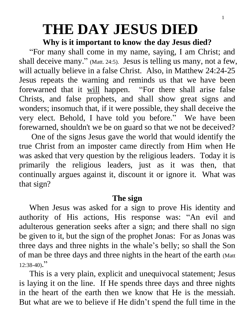# **THE DAY JESUS DIED**

### **Why is it important to know the day Jesus died?**

 "For many shall come in my name, saying, I am Christ; and shall deceive many." (Matt. 24:5). Jesus is telling us many, not a few, will actually believe in a false Christ. Also, in Matthew 24:24-25 Jesus repeats the warning and reminds us that we have been forewarned that it will happen. "For there shall arise false Christs, and false prophets, and shall show great signs and wonders; insomuch that, if it were possible, they shall deceive the very elect. Behold, I have told you before." We have been forewarned, shouldn't we be on guard so that we not be deceived?

 One of the signs Jesus gave the world that would identify the true Christ from an imposter came directly from Him when He was asked that very question by the religious leaders. Today it is primarily the religious leaders, just as it was then, that continually argues against it, discount it or ignore it. What was that sign?

## **The sign**

 When Jesus was asked for a sign to prove His identity and authority of His actions, His response was: "An evil and adulterous generation seeks after a sign; and there shall no sign be given to it, but the sign of the prophet Jonas: For as Jonas was three days and three nights in the whale's belly; so shall the Son of man be three days and three nights in the heart of the earth (Matt  $12:38-40$ ."

 This is a very plain, explicit and unequivocal statement; Jesus is laying it on the line. If He spends three days and three nights in the heart of the earth then we know that He is the messiah. But what are we to believe if He didn't spend the full time in the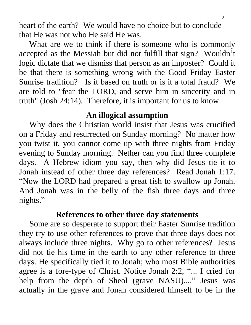heart of the earth? We would have no choice but to conclude that He was not who He said He was.

 What are we to think if there is someone who is commonly accepted as the Messiah but did not fulfill that sign? Wouldn't logic dictate that we dismiss that person as an imposter? Could it be that there is something wrong with the Good Friday Easter Sunrise tradition? Is it based on truth or is it a total fraud? We are told to "fear the LORD, and serve him in sincerity and in truth" (Josh 24:14). Therefore, it is important for us to know.

## **An illogical assumption**

 Why does the Christian world insist that Jesus was crucified on a Friday and resurrected on Sunday morning? No matter how you twist it, you cannot come up with three nights from Friday evening to Sunday morning. Nether can you find three complete days. A Hebrew idiom you say, then why did Jesus tie it to Jonah instead of other three day references? Read Jonah 1:17. "Now the LORD had prepared a great fish to swallow up Jonah. And Jonah was in the belly of the fish three days and three nights."

## **References to other three day statements**

 Some are so desperate to support their Easter Sunrise tradition they try to use other references to prove that three days does not always include three nights. Why go to other references? Jesus did not tie his time in the earth to any other reference to three days. He specifically tied it to Jonah; who most Bible authorities agree is a fore-type of Christ. Notice Jonah 2:2, "... I cried for help from the depth of Sheol (grave NASU)...." Jesus was actually in the grave and Jonah considered himself to be in the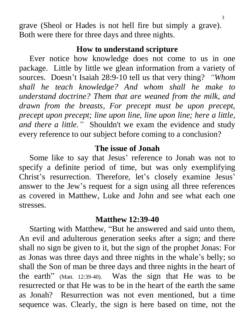grave (Sheol or Hades is not hell fire but simply a grave). Both were there for three days and three nights.

#### **How to understand scripture**

 Ever notice how knowledge does not come to us in one package. Little by little we glean information from a variety of sources. Doesn't Isaiah 28:9-10 tell us that very thing? *"Whom shall he teach knowledge? And whom shall he make to understand doctrine? Them that are weaned from the milk, and drawn from the breasts, For precept must be upon precept, precept upon precept; line upon line, line upon line; here a little, and there a little."* Shouldn't we exam the evidence and study every reference to our subject before coming to a conclusion?

## **The issue of Jonah**

 Some like to say that Jesus' reference to Jonah was not to specify a definite period of time, but was only exemplifying Christ's resurrection. Therefore, let's closely examine Jesus' answer to the Jew's request for a sign using all three references as covered in Matthew, Luke and John and see what each one stresses.

#### **Matthew 12:39-40**

 Starting with Matthew, "But he answered and said unto them, An evil and adulterous generation seeks after a sign; and there shall no sign be given to it, but the sign of the prophet Jonas: For as Jonas was three days and three nights in the whale's belly; so shall the Son of man be three days and three nights in the heart of the earth" (Matt. 12:39-40). Was the sign that He was to be resurrected or that He was to be in the heart of the earth the same as Jonah? Resurrection was not even mentioned, but a time sequence was. Clearly, the sign is here based on time, not the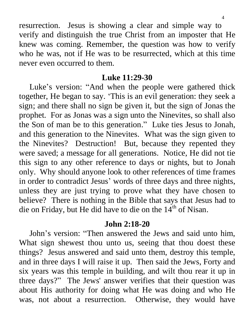resurrection. Jesus is showing a clear and simple way to verify and distinguish the true Christ from an imposter that He knew was coming. Remember, the question was how to verify who he was, not if He was to be resurrected, which at this time never even occurred to them.

#### **Luke 11:29-30**

 Luke's version: "And when the people were gathered thick together, He began to say. 'This is an evil generation: they seek a sign; and there shall no sign be given it, but the sign of Jonas the prophet. For as Jonas was a sign unto the Ninevites, so shall also the Son of man be to this generation." Luke ties Jesus to Jonah, and this generation to the Ninevites. What was the sign given to the Ninevites? Destruction! But, because they repented they were saved; a message for all generations. Notice, He did not tie this sign to any other reference to days or nights, but to Jonah only. Why should anyone look to other references of time frames in order to contradict Jesus' words of three days and three nights, unless they are just trying to prove what they have chosen to believe? There is nothing in the Bible that says that Jesus had to die on Friday, but He did have to die on the  $14<sup>th</sup>$  of Nisan.

## **John 2:18-20**

 John's version: "Then answered the Jews and said unto him, What sign shewest thou unto us, seeing that thou doest these things? Jesus answered and said unto them, destroy this temple, and in three days I will raise it up. Then said the Jews, Forty and six years was this temple in building, and wilt thou rear it up in three days?" The Jews' answer verifies that their question was about His authority for doing what He was doing and who He was, not about a resurrection. Otherwise, they would have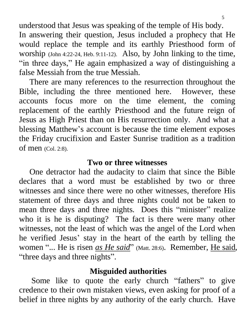understood that Jesus was speaking of the temple of His body. In answering their question, Jesus included a prophecy that He would replace the temple and its earthly Priesthood form of worship (John 4:22-24, Heb. 9:11-12). Also, by John linking to the time, "in three days," He again emphasized a way of distinguishing a false Messiah from the true Messiah.

 There are many references to the resurrection throughout the Bible, including the three mentioned here. However, these accounts focus more on the time element, the coming replacement of the earthly Priesthood and the future reign of Jesus as High Priest than on His resurrection only. And what a blessing Matthew's account is because the time element exposes the Friday crucifixion and Easter Sunrise tradition as a tradition of men (Col. 2:8).

#### **Two or three witnesses**

 One detractor had the audacity to claim that since the Bible declares that a word must be established by two or three witnesses and since there were no other witnesses, therefore His statement of three days and three nights could not be taken to mean three days and three nights. Does this "minister" realize who it is he is disputing? The fact is there were many other witnesses, not the least of which was the angel of the Lord when he verified Jesus' stay in the heart of the earth by telling the women "... He is risen *as He said*" (Matt. 28:6). Remember, He said, "three days and three nights".

## **Misguided authorities**

Some like to quote the early church "fathers" to give credence to their own mistaken views, even asking for proof of a belief in three nights by any authority of the early church. Have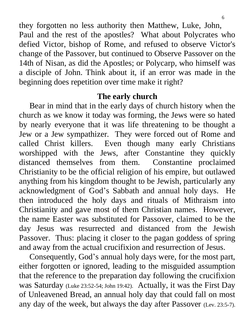they forgotten no less authority then Matthew, Luke, John, Paul and the rest of the apostles? What about Polycrates who defied Victor, bishop of Rome, and refused to observe Victor's change of the Passover, but continued to Observe Passover on the 14th of Nisan, as did the Apostles; or Polycarp, who himself was a disciple of John. Think about it, if an error was made in the beginning does repetition over time make it right?

#### **The early church**

 Bear in mind that in the early days of church history when the church as we know it today was forming, the Jews were so hated by nearly everyone that it was life threatening to be thought a Jew or a Jew sympathizer. They were forced out of Rome and called Christ killers. Even though many early Christians worshipped with the Jews, after Constantine they quickly distanced themselves from them. Constantine proclaimed Christianity to be the official religion of his empire, but outlawed anything from his kingdom thought to be Jewish, particularly any acknowledgment of God's Sabbath and annual holy days. He then introduced the holy days and rituals of Mithraism into Christianity and gave most of them Christian names. However, the name Easter was substituted for Passover, claimed to be the day Jesus was resurrected and distanced from the Jewish Passover. Thus: placing it closer to the pagan goddess of spring and away from the actual crucifixion and resurrection of Jesus.

 Consequently, God's annual holy days were, for the most part, either forgotten or ignored, leading to the misguided assumption that the reference to the preparation day following the crucifixion was Saturday (Luke 23:52-54; John 19:42). Actually, it was the First Day of Unleavened Bread, an annual holy day that could fall on most any day of the week, but always the day after Passover (Lev. 23:5-7).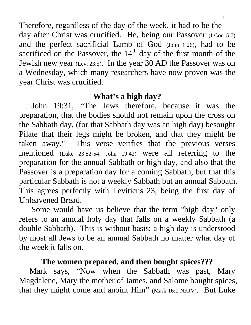Therefore, regardless of the day of the week, it had to be the day after Christ was crucified. He, being our Passover (I Cor. 5:7) and the perfect sacrificial Lamb of God (John 1:26), had to be sacrificed on the Passover, the  $14<sup>th</sup>$  day of the first month of the Jewish new year (Lev. 23:5). In the year 30 AD the Passover was on a Wednesday, which many researchers have now proven was the year Christ was crucified.

## **What's a high day?**

 John 19:31, "The Jews therefore, because it was the preparation, that the bodies should not remain upon the cross on the Sabbath day, (for that Sabbath day was an high day) besought Pilate that their legs might be broken, and that they might be taken away." This verse verifies that the previous verses mentioned (Luke 23:52-54; John 19:42) were all referring to the preparation for the annual Sabbath or high day, and also that the Passover is a preparation day for a coming Sabbath, but that this particular Sabbath is not a weekly Sabbath but an annual Sabbath. This agrees perfectly with Leviticus 23, being the first day of Unleavened Bread.

 Some would have us believe that the term "high day" only refers to an annual holy day that falls on a weekly Sabbath (a double Sabbath). This is without basis; a high day is understood by most all Jews to be an annual Sabbath no matter what day of the week it falls on.

## **The women prepared, and then bought spices???**

 Mark says, "Now when the Sabbath was past, Mary Magdalene, Mary the mother of James, and Salome bought spices, that they might come and anoint Him" (Mark 16:1 NKJV). But Luke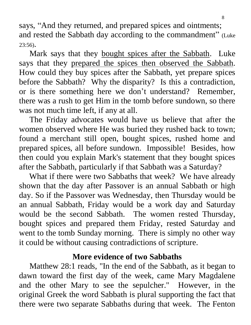says, "And they returned, and prepared spices and ointments; and rested the Sabbath day according to the commandment" (Luke 23:56).

Mark says that they bought spices after the Sabbath. Luke says that they prepared the spices then observed the Sabbath. How could they buy spices after the Sabbath, yet prepare spices before the Sabbath? Why the disparity? Is this a contradiction, or is there something here we don't understand? Remember, there was a rush to get Him in the tomb before sundown, so there was not much time left, if any at all.

 The Friday advocates would have us believe that after the women observed where He was buried they rushed back to town; found a merchant still open, bought spices, rushed home and prepared spices, all before sundown. Impossible! Besides, how then could you explain Mark's statement that they bought spices after the Sabbath, particularly if that Sabbath was a Saturday?

 What if there were two Sabbaths that week? We have already shown that the day after Passover is an annual Sabbath or high day. So if the Passover was Wednesday, then Thursday would be an annual Sabbath, Friday would be a work day and Saturday would be the second Sabbath. The women rested Thursday, bought spices and prepared them Friday, rested Saturday and went to the tomb Sunday morning. There is simply no other way it could be without causing contradictions of scripture.

## **More evidence of two Sabbaths**

 Matthew 28:1 reads, "In the end of the Sabbath, as it began to dawn toward the first day of the week, came Mary Magdalene and the other Mary to see the sepulcher." However, in the original Greek the word Sabbath is plural supporting the fact that there were two separate Sabbaths during that week. The Fenton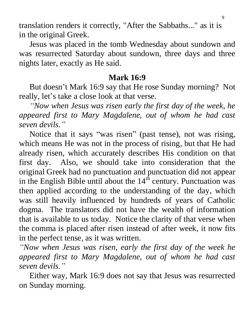translation renders it correctly, "After the Sabbaths..." as it is in the original Greek.

 Jesus was placed in the tomb Wednesday about sundown and was resurrected Saturday about sundown, three days and three nights later, exactly as He said.

## **Mark 16:9**

 But doesn't Mark 16:9 say that He rose Sunday morning? Not really, let's take a close look at that verse.

 *"Now when Jesus was risen early the first day of the week, he appeared first to Mary Magdalene, out of whom he had cast seven devils."*

 Notice that it says "was risen" (past tense), not was rising, which means He was not in the process of rising, but that He had already risen, which accurately describes His condition on that first day. Also, we should take into consideration that the original Greek had no punctuation and punctuation did not appear in the English Bible until about the  $14<sup>th</sup>$  century. Punctuation was then applied according to the understanding of the day, which was still heavily influenced by hundreds of years of Catholic dogma. The translators did not have the wealth of information that is available to us today. Notice the clarity of that verse when the comma is placed after risen instead of after week, it now fits in the perfect tense, as it was written.

*"Now when Jesus was risen, early the first day of the week he appeared first to Mary Magdalene, out of whom he had cast seven devils."*

 Either way, Mark 16:9 does not say that Jesus was resurrected on Sunday morning.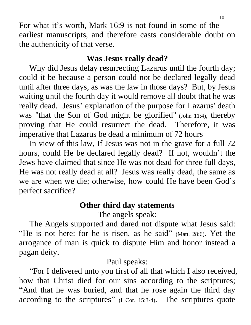For what it's worth, Mark 16:9 is not found in some of the earliest manuscripts, and therefore casts considerable doubt on the authenticity of that verse.

# **Was Jesus really dead?**

 Why did Jesus delay resurrecting Lazarus until the fourth day; could it be because a person could not be declared legally dead until after three days, as was the law in those days? But, by Jesus waiting until the fourth day it would remove all doubt that he was really dead. Jesus' explanation of the purpose for Lazarus' death was "that the Son of God might be glorified" (John 11:4), thereby proving that He could resurrect the dead. Therefore, it was imperative that Lazarus be dead a minimum of 72 hours

 In view of this law, If Jesus was not in the grave for a full 72 hours, could He be declared legally dead? If not, wouldn't the Jews have claimed that since He was not dead for three full days, He was not really dead at all? Jesus was really dead, the same as we are when we die; otherwise, how could He have been God's perfect sacrifice?

# **Other third day statements**

The angels speak:

 The Angels supported and dared not dispute what Jesus said: "He is not here: for he is risen, as he said" (Matt. 28:6). Yet the arrogance of man is quick to dispute Him and honor instead a pagan deity.

Paul speaks:

 "For I delivered unto you first of all that which I also received, how that Christ died for our sins according to the scriptures; "And that he was buried, and that he rose again the third day according to the scriptures" (I Cor. 15:3-4). The scriptures quote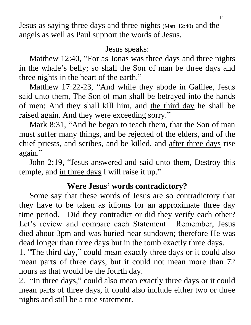Jesus as saying three days and three nights (Matt. 12:40) and the angels as well as Paul support the words of Jesus.

Jesus speaks:

 Matthew 12:40, "For as Jonas was three days and three nights in the whale's belly; so shall the Son of man be three days and three nights in the heart of the earth."

 Matthew 17:22-23, "And while they abode in Galilee, Jesus said unto them, The Son of man shall be betrayed into the hands of men: And they shall kill him, and the third day he shall be raised again. And they were exceeding sorry."

 Mark 8:31, "And he began to teach them, that the Son of man must suffer many things, and be rejected of the elders, and of the chief priests, and scribes, and be killed, and after three days rise again."

 John 2:19, "Jesus answered and said unto them, Destroy this temple, and in three days I will raise it up."

# **Were Jesus' words contradictory?**

 Some say that these words of Jesus are so contradictory that they have to be taken as idioms for an approximate three day time period. Did they contradict or did they verify each other? Let's review and compare each Statement. Remember, Jesus died about 3pm and was buried near sundown; therefore He was dead longer than three days but in the tomb exactly three days.

1. "The third day, " could mean exactly three days or it could also mean parts of three days, but it could not mean more than 72 hours as that would be the fourth day.

2. "In three days, " could also mean exactly three days or it could mean parts of three days, it could also include either two or three nights and still be a true statement.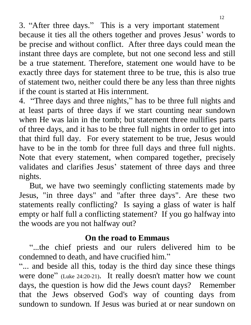3. "After three days." This is a very important statement because it ties all the others together and proves Jesus' words to be precise and without conflict. After three days could mean the instant three days are complete, but not one second less and still be a true statement. Therefore, statement one would have to be exactly three days for statement three to be true, this is also true of statement two, neither could there be any less than three nights if the count is started at His internment.

4. "Three days and three nights, " has to be three full nights and at least parts of three days if we start counting near sundown when He was lain in the tomb; but statement three nullifies parts of three days, and it has to be three full nights in order to get into that third full day. For every statement to be true, Jesus would have to be in the tomb for three full days and three full nights. Note that every statement, when compared together, precisely validates and clarifies Jesus' statement of three days and three nights.

 But, we have two seemingly conflicting statements made by Jesus, "in three days" and "after three days". Are these two statements really conflicting? Is saying a glass of water is half empty or half full a conflicting statement? If you go halfway into the woods are you not halfway out?

# **On the road to Emmaus**

 "...the chief priests and our rulers delivered him to be condemned to death, and have crucified him."

"... and beside all this, today is the third day since these things were done" (Luke 24:20-21). It really doesn't matter how we count days, the question is how did the Jews count days? Remember that the Jews observed God's way of counting days from sundown to sundown. If Jesus was buried at or near sundown on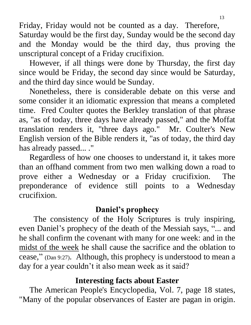Friday, Friday would not be counted as a day. Therefore, Saturday would be the first day, Sunday would be the second day and the Monday would be the third day, thus proving the unscriptural concept of a Friday crucifixion.

 However, if all things were done by Thursday, the first day since would be Friday, the second day since would be Saturday, and the third day since would be Sunday.

 Nonetheless, there is considerable debate on this verse and some consider it an idiomatic expression that means a completed time. Fred Coulter quotes the Berkley translation of that phrase as, "as of today, three days have already passed," and the Moffat translation renders it, "three days ago." Mr. Coulter's New English version of the Bible renders it, "as of today, the third day has already passed... ."

 Regardless of how one chooses to understand it, it takes more than an offhand comment from two men walking down a road to prove either a Wednesday or a Friday crucifixion. The preponderance of evidence still points to a Wednesday crucifixion.

# **Daniel's prophecy**

 The consistency of the Holy Scriptures is truly inspiring, even Daniel's prophecy of the death of the Messiah says, "... and he shall confirm the covenant with many for one week: and in the midst of the week he shall cause the sacrifice and the oblation to cease," (Dan 9:27). Although, this prophecy is understood to mean a day for a year couldn't it also mean week as it said?

# **Interesting facts about Easter**

The American People's Encyclopedia, Vol. 7, page 18 states, "Many of the popular observances of Easter are pagan in origin.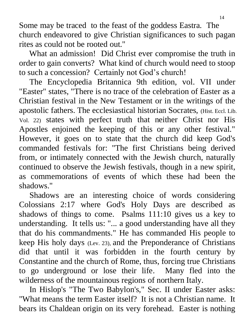Some may be traced to the feast of the goddess Eastra. The church endeavored to give Christian significances to such pagan rites as could not be rooted out."

 What an admission! Did Christ ever compromise the truth in order to gain converts? What kind of church would need to stoop to such a concession? Certainly not God's church!

 The Encyclopedia Britannica 9th edition, vol. VII under "Easter" states, "There is no trace of the celebration of Easter as a Christian festival in the New Testament or in the writings of the apostolic fathers. The ecclesiastical historian Socrates, (Hist. Eccl. Lib. Vol. 22) states with perfect truth that neither Christ nor His Apostles enjoined the keeping of this or any other festival." However, it goes on to state that the church did keep God's commanded festivals for: "The first Christians being derived from, or intimately connected with the Jewish church, naturally continued to observe the Jewish festivals, though in a new spirit, as commemorations of events of which these had been the shadows."

 Shadows are an interesting choice of words considering Colossians 2:17 where God's Holy Days are described as shadows of things to come. Psalms 111:10 gives us a key to understanding. It tells us: "... a good understanding have all they that do his commandments." He has commanded His people to keep His holy days (Lev. 23), and the Preponderance of Christians did that until it was forbidden in the fourth century by Constantine and the church of Rome, thus, forcing true Christians to go underground or lose their life. Many fled into the wilderness of the mountainous regions of northern Italy.

 In Hislop's "The Two Babylon's," Sec. II under Easter asks: "What means the term Easter itself? It is not a Christian name. It bears its Chaldean origin on its very forehead. Easter is nothing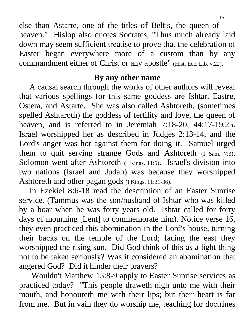else than Astarte, one of the titles of Beltis, the queen of

heaven." Hislop also quotes Socrates, "Thus much already laid down may seem sufficient treatise to prove that the celebration of Easter began everywhere more of a custom than by any commandment either of Christ or any apostle" (Hist. Ecc. Lib. v.22).

## **By any other name**

 A causal search through the works of other authors will reveal that various spellings for this same goddess are Ishtar, Eastre, Ostera, and Astarte. She was also called Ashtoreth, (sometimes spelled Ashtaroth) the goddess of fertility and love, the queen of heaven, and is referred to in Jeremiah 7:18-20, 44:17-19,25. Israel worshipped her as described in Judges 2:13-14, and the Lord's anger was hot against them for doing it. Samuel urged them to quit serving strange Gods and Ashtoreth (I Sam. 7:3). Solomon went after Ashtoreth (I Kings. 11:5). Israel's division into two nations (Israel and Judah) was because they worshipped Ashtoreth and other pagan gods (I Kings. 11:31-36).

 In Ezekiel 8:6-18 read the description of an Easter Sunrise service. (Tammus was the son/husband of Ishtar who was killed by a boar when he was forty years old. Ishtar called for forty days of mourning [Lent] to commemorate him). Notice verse 16, they even practiced this abomination in the Lord's house, turning their backs on the temple of the Lord; facing the east they worshipped the rising sun. Did God think of this as a light thing not to be taken seriously? Was it considered an abomination that angered God? Did it hinder their prayers?

 Wouldn't Matthew 15:8-9 apply to Easter Sunrise services as practiced today? "This people draweth nigh unto me with their mouth, and honoureth me with their lips; but their heart is far from me. But in vain they do worship me, teaching for doctrines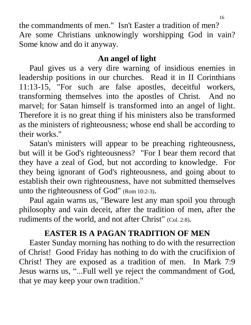the commandments of men." Isn't Easter a tradition of men? Are some Christians unknowingly worshipping God in vain? Some know and do it anyway.

## **An angel of light**

 Paul gives us a very dire warning of insidious enemies in leadership positions in our churches. Read it in II Corinthians 11:13-15, "For such are false apostles, deceitful workers, transforming themselves into the apostles of Christ. And no marvel; for Satan himself is transformed into an angel of light. Therefore it is no great thing if his ministers also be transformed as the ministers of righteousness; whose end shall be according to their works."

 Satan's ministers will appear to be preaching righteousness, but will it be God's righteousness? "For I bear them record that they have a zeal of God, but not according to knowledge. For they being ignorant of God's righteousness, and going about to establish their own righteousness, have not submitted themselves unto the righteousness of God" (Rom 10:2-3).

 Paul again warns us, "Beware lest any man spoil you through philosophy and vain deceit, after the tradition of men, after the rudiments of the world, and not after Christ" (Col. 2:8).

# **EASTER IS A PAGAN TRADITION OF MEN**

 Easter Sunday morning has nothing to do with the resurrection of Christ! Good Friday has nothing to do with the crucifixion of Christ! They are exposed as a tradition of men. In Mark 7:9 Jesus warns us, "...Full well ye reject the commandment of God, that ye may keep your own tradition."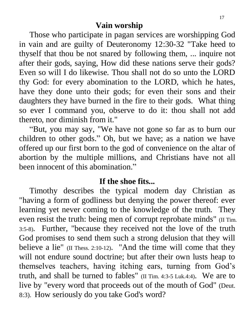## **Vain worship**

 Those who participate in pagan services are worshipping God in vain and are guilty of Deuteronomy 12:30-32 "Take heed to thyself that thou be not snared by following them, ... inquire not after their gods, saying, How did these nations serve their gods? Even so will I do likewise. Thou shall not do so unto the LORD thy God: for every abomination to the LORD, which he hates, have they done unto their gods; for even their sons and their daughters they have burned in the fire to their gods. What thing so ever I command you, observe to do it: thou shall not add thereto, nor diminish from it."

 "But, you may say, "We have not gone so far as to burn our children to other gods." Oh, but we have; as a nation we have offered up our first born to the god of convenience on the altar of abortion by the multiple millions, and Christians have not all been innocent of this abomination."

### **If the shoe fits...**

 Timothy describes the typical modern day Christian as "having a form of godliness but denying the power thereof: ever learning yet never coming to the knowledge of the truth. They even resist the truth: being men of corrupt reprobate minds" (II Tim. 3:5-8). Further, "because they received not the love of the truth God promises to send them such a strong delusion that they will believe a lie" (II Thess. 2:10-12). "And the time will come that they will not endure sound doctrine; but after their own lusts heap to themselves teachers, having itching ears, turning from God's truth, and shall be turned to fables" (II Tim. 4:3-5 Luk.4:4). We are to live by "every word that proceeds out of the mouth of God" (Deut. 8:3). How seriously do you take God's word?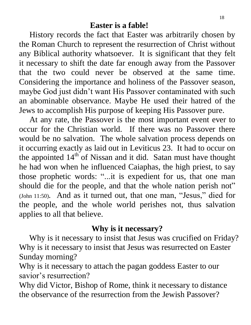History records the fact that Easter was arbitrarily chosen by the Roman Church to represent the resurrection of Christ without any Biblical authority whatsoever. It is significant that they felt it necessary to shift the date far enough away from the Passover that the two could never be observed at the same time. Considering the importance and holiness of the Passover season, maybe God just didn't want His Passover contaminated with such an abominable observance. Maybe He used their hatred of the Jews to accomplish His purpose of keeping His Passover pure.

At any rate, the Passover is the most important event ever to occur for the Christian world. If there was no Passover there would be no salvation. The whole salvation process depends on it occurring exactly as laid out in Leviticus 23. It had to occur on the appointed  $14<sup>th</sup>$  of Nissan and it did. Satan must have thought he had won when he influenced Caiaphas, the high priest, to say those prophetic words: "...it is expedient for us, that one man should die for the people, and that the whole nation perish not" (John 11:50). And as it turned out, that one man, "Jesus," died for the people, and the whole world perishes not, thus salvation applies to all that believe.

## **Why is it necessary?**

 Why is it necessary to insist that Jesus was crucified on Friday? Why is it necessary to insist that Jesus was resurrected on Easter Sunday morning?

Why is it necessary to attach the pagan goddess Easter to our savior's resurrection?

Why did Victor, Bishop of Rome, think it necessary to distance the observance of the resurrection from the Jewish Passover?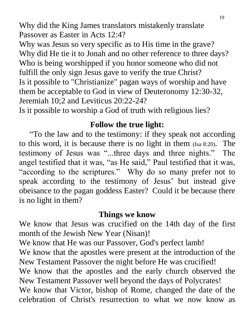Why did the King James translators mistakenly translate Passover as Easter in Acts 12:4?

Why was Jesus so very specific as to His time in the grave? Why did He tie it to Jonah and no other reference to three days? Who is being worshipped if you honor someone who did not fulfill the only sign Jesus gave to verify the true Christ? Is it possible to "Christianize" pagan ways of worship and have them be acceptable to God in view of Deuteronomy 12:30-32, Jeremiah 10;2 and Leviticus 20:22-24?

Is it possible to worship a God of truth with religious lies?

## **Follow the true light:**

 "To the law and to the testimony: if they speak not according to this word, it is because there is no light in them (Isa 8:20). The testimony of Jesus was "...three days and three nights." The angel testified that it was, "as He said," Paul testified that it was, "according to the scriptures." Why do so many prefer not to speak according to the testimony of Jesus' but instead give obeisance to the pagan goddess Easter? Could it be because there is no light in them?

#### **Things we know**

We know that Jesus was crucified on the 14th day of the first month of the Jewish New Year (Nisan)!

We know that He was our Passover, God's perfect lamb! We know that the apostles were present at the introduction of the New Testament Passover the night before He was crucified! We know that the apostles and the early church observed the New Testament Passover well beyond the days of Polycrates! We know that Victor, bishop of Rome, changed the date of the celebration of Christ's resurrection to what we now know as